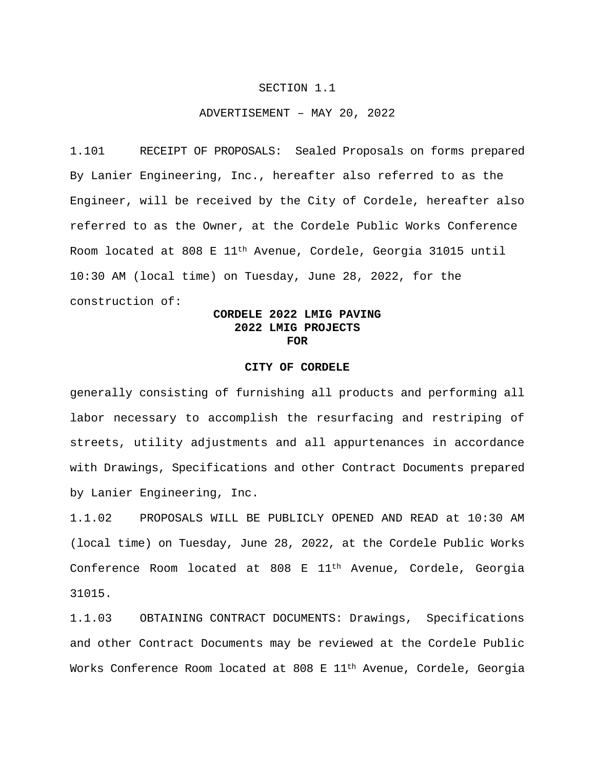## SECTION 1.1

## ADVERTISEMENT – MAY 20, 2022

1.101 RECEIPT OF PROPOSALS: Sealed Proposals on forms prepared By Lanier Engineering, Inc., hereafter also referred to as the Engineer, will be received by the City of Cordele, hereafter also referred to as the Owner, at the Cordele Public Works Conference Room located at 808 E 11th Avenue, Cordele, Georgia 31015 until 10:30 AM (local time) on Tuesday, June 28, 2022, for the construction of:

## **CORDELE 2022 LMIG PAVING 2022 LMIG PROJECTS FOR**

## **CITY OF CORDELE**

generally consisting of furnishing all products and performing all labor necessary to accomplish the resurfacing and restriping of streets, utility adjustments and all appurtenances in accordance with Drawings, Specifications and other Contract Documents prepared by Lanier Engineering, Inc.

1.1.02 PROPOSALS WILL BE PUBLICLY OPENED AND READ at 10:30 AM (local time) on Tuesday, June 28, 2022, at the Cordele Public Works Conference Room located at 808 E 11th Avenue, Cordele, Georgia 31015.

1.1.03 OBTAINING CONTRACT DOCUMENTS: Drawings, Specifications and other Contract Documents may be reviewed at the Cordele Public Works Conference Room located at 808 E 11<sup>th</sup> Avenue, Cordele, Georgia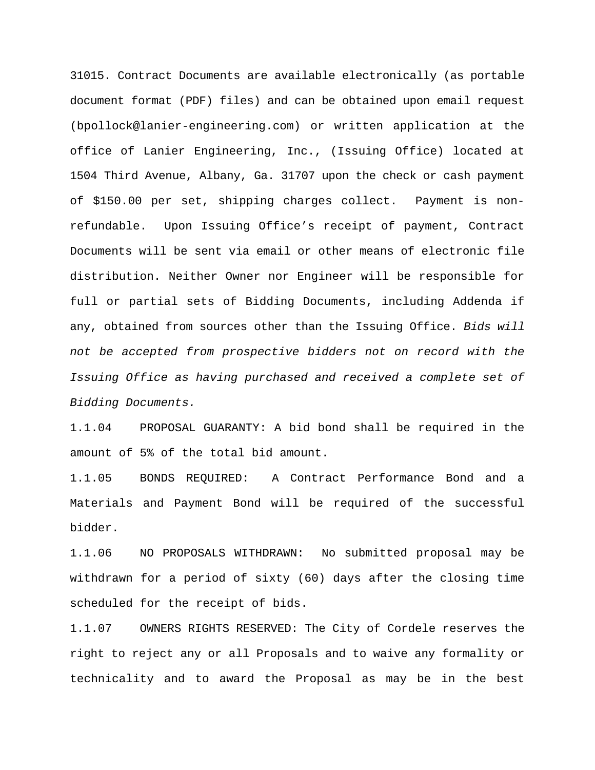31015. Contract Documents are available electronically (as portable document format (PDF) files) and can be obtained upon email request (bpollock@lanier-engineering.com) or written application at the office of Lanier Engineering, Inc., (Issuing Office) located at 1504 Third Avenue, Albany, Ga. 31707 upon the check or cash payment of \$150.00 per set, shipping charges collect. Payment is nonrefundable. Upon Issuing Office's receipt of payment, Contract Documents will be sent via email or other means of electronic file distribution. Neither Owner nor Engineer will be responsible for full or partial sets of Bidding Documents, including Addenda if any, obtained from sources other than the Issuing Office. *Bids will not be accepted from prospective bidders not on record with the Issuing Office as having purchased and received a complete set of Bidding Documents.*

1.1.04 PROPOSAL GUARANTY: A bid bond shall be required in the amount of 5% of the total bid amount.

1.1.05 BONDS REQUIRED: A Contract Performance Bond and a Materials and Payment Bond will be required of the successful bidder.

1.1.06 NO PROPOSALS WITHDRAWN: No submitted proposal may be withdrawn for a period of sixty (60) days after the closing time scheduled for the receipt of bids.

1.1.07 OWNERS RIGHTS RESERVED: The City of Cordele reserves the right to reject any or all Proposals and to waive any formality or technicality and to award the Proposal as may be in the best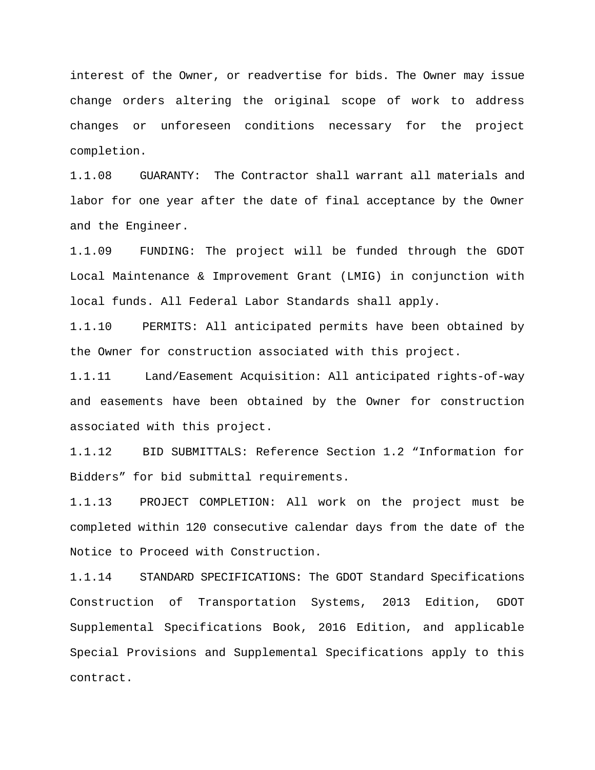interest of the Owner, or readvertise for bids. The Owner may issue change orders altering the original scope of work to address changes or unforeseen conditions necessary for the project completion.

1.1.08 GUARANTY: The Contractor shall warrant all materials and labor for one year after the date of final acceptance by the Owner and the Engineer.

1.1.09 FUNDING: The project will be funded through the GDOT Local Maintenance & Improvement Grant (LMIG) in conjunction with local funds. All Federal Labor Standards shall apply.

1.1.10 PERMITS: All anticipated permits have been obtained by the Owner for construction associated with this project.

1.1.11 Land/Easement Acquisition: All anticipated rights-of-way and easements have been obtained by the Owner for construction associated with this project.

1.1.12 BID SUBMITTALS: Reference Section 1.2 "Information for Bidders" for bid submittal requirements.

1.1.13 PROJECT COMPLETION: All work on the project must be completed within 120 consecutive calendar days from the date of the Notice to Proceed with Construction.

1.1.14 STANDARD SPECIFICATIONS: The GDOT Standard Specifications Construction of Transportation Systems, 2013 Edition, GDOT Supplemental Specifications Book, 2016 Edition, and applicable Special Provisions and Supplemental Specifications apply to this contract.